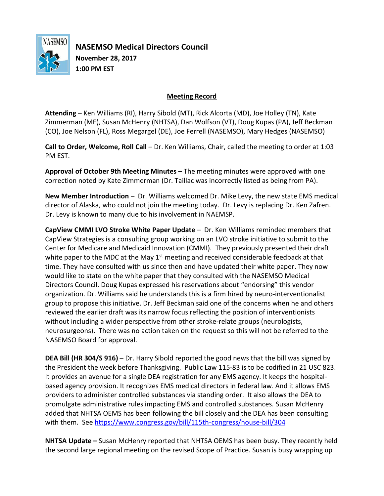

**NASEMSO Medical Directors Council November 28, 2017 1:00 PM EST**

## **Meeting Record**

**Attending** – Ken Williams (RI), Harry Sibold (MT), Rick Alcorta (MD), Joe Holley (TN), Kate Zimmerman (ME), Susan McHenry (NHTSA), Dan Wolfson (VT), Doug Kupas (PA), Jeff Beckman (CO), Joe Nelson (FL), Ross Megargel (DE), Joe Ferrell (NASEMSO), Mary Hedges (NASEMSO)

**Call to Order, Welcome, Roll Call** – Dr. Ken Williams, Chair, called the meeting to order at 1:03 PM EST.

**Approval of October 9th Meeting Minutes** – The meeting minutes were approved with one correction noted by Kate Zimmerman (Dr. Taillac was incorrectly listed as being from PA).

**New Member Introduction** – Dr. Williams welcomed Dr. Mike Levy, the new state EMS medical director of Alaska, who could not join the meeting today. Dr. Levy is replacing Dr. Ken Zafren. Dr. Levy is known to many due to his involvement in NAEMSP.

**CapView CMMI LVO Stroke White Paper Update** – Dr. Ken Williams reminded members that CapView Strategies is a consulting group working on an LVO stroke initiative to submit to the Center for Medicare and Medicaid Innovation (CMMI). They previously presented their draft white paper to the MDC at the May  $1<sup>st</sup>$  meeting and received considerable feedback at that time. They have consulted with us since then and have updated their white paper. They now would like to state on the white paper that they consulted with the NASEMSO Medical Directors Council. Doug Kupas expressed his reservations about "endorsing" this vendor organization. Dr. Williams said he understands this is a firm hired by neuro-interventionalist group to propose this initiative. Dr. Jeff Beckman said one of the concerns when he and others reviewed the earlier draft was its narrow focus reflecting the position of interventionists without including a wider perspective from other stroke-relate groups (neurologists, neurosurgeons). There was no action taken on the request so this will not be referred to the NASEMSO Board for approval.

**DEA Bill (HR 304/S 916)** – Dr. Harry Sibold reported the good news that the bill was signed by the President the week before Thanksgiving. Public Law 115-83 is to be codified in 21 USC 823. It provides an avenue for a single DEA registration for any EMS agency. It keeps the hospitalbased agency provision. It recognizes EMS medical directors in federal law. And it allows EMS providers to administer controlled substances via standing order. It also allows the DEA to promulgate administrative rules impacting EMS and controlled substances. Susan McHenry added that NHTSA OEMS has been following the bill closely and the DEA has been consulting with them. See <https://www.congress.gov/bill/115th-congress/house-bill/304>

**NHTSA Update –** Susan McHenry reported that NHTSA OEMS has been busy. They recently held the second large regional meeting on the revised Scope of Practice. Susan is busy wrapping up